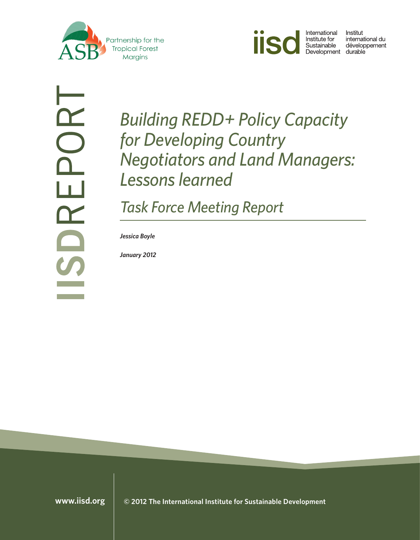



Institut international du Sustainable dévelop<br>Development durable développement

 $\alpha$ DO<br>HD  $\mathbf{r}$ 

*Building REDD+ Policy Capacity for Developing Country Negotiators and Land Managers: Lessons learned*

*Task Force Meeting Report*

*Jessica Boyle*

*January 2012*

**<www.iisd.org> © 2012 The International Institute for Sustainable Development**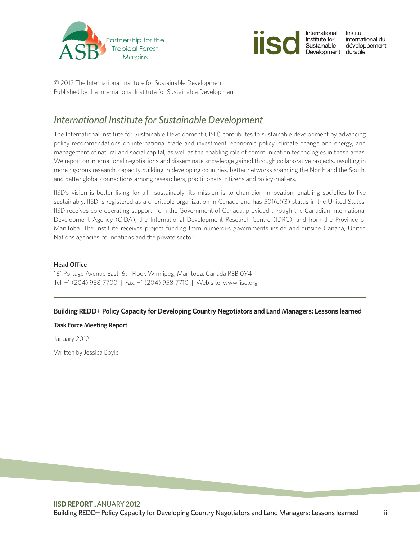



© 2012 The International Institute for Sustainable Development Published by the International Institute for Sustainable Development.

## *International Institute for Sustainable Development*

The International Institute for Sustainable Development (IISD) contributes to sustainable development by advancing policy recommendations on international trade and investment, economic policy, climate change and energy, and management of natural and social capital, as well as the enabling role of communication technologies in these areas. We report on international negotiations and disseminate knowledge gained through collaborative projects, resulting in more rigorous research, capacity building in developing countries, better networks spanning the North and the South, and better global connections among researchers, practitioners, citizens and policy-makers.

IISD's vision is better living for all—sustainably; its mission is to champion innovation, enabling societies to live sustainably. IISD is registered as a charitable organization in Canada and has 501(c)(3) status in the United States. IISD receives core operating support from the Government of Canada, provided through the Canadian International Development Agency (CIDA), the International Development Research Centre (IDRC), and from the Province of Manitoba. The Institute receives project funding from numerous governments inside and outside Canada, United Nations agencies, foundations and the private sector.

#### **Head Office**

161 Portage Avenue East, 6th Floor, Winnipeg, Manitoba, Canada R3B 0Y4 Tel: +1 (204) 958-7700 | Fax: +1 (204) 958-7710 | Web site: <www.iisd.org>

### **Building REDD+ Policy Capacity for Developing Country Negotiators and Land Managers: Lessons learned**

#### **Task Force Meeting Report**

January 2012

Written by Jessica Boyle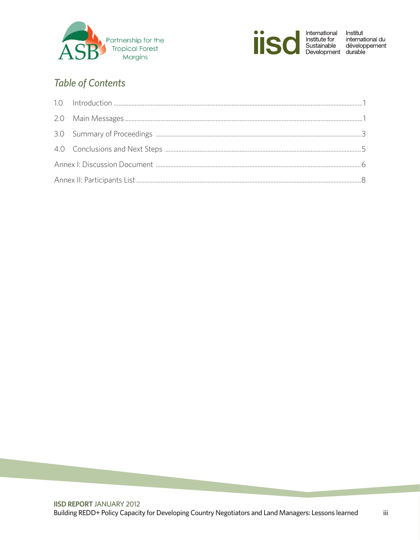



 $\rm iii$ 

# **Table of Contents**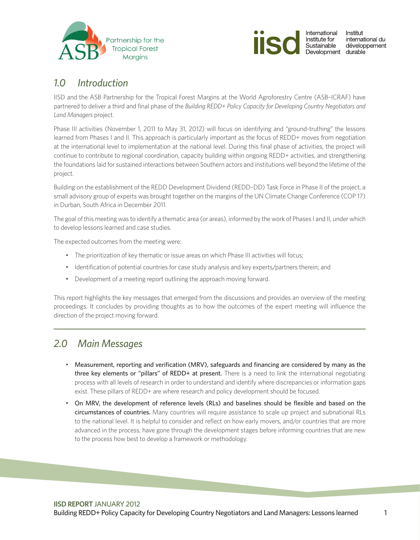<span id="page-3-0"></span>



## *1.0 Introduction*

IISD and the ASB Partnership for the Tropical Forest Margins at the World Agroforestry Centre (ASB–ICRAF) have partnered to deliver a third and final phase of the *Building REDD+ Policy Capacity for Developing Country Negotiators and Land Managers* project.

Phase III activities (November 1, 2011 to May 31, 2012) will focus on identifying and "ground-truthing" the lessons learned from Phases I and II. This approach is particularly important as the focus of REDD+ moves from negotiation at the international level to implementation at the national level. During this final phase of activities, the project will continue to contribute to regional coordination, capacity building within ongoing REDD+ activities, and strengthening the foundations laid for sustained interactions between Southern actors and institutions well beyond the lifetime of the project.

Building on the establishment of the REDD Development Dividend (REDD–DD) Task Force in Phase II of the project, a small advisory group of experts was brought together on the margins of the UN Climate Change Conference (COP 17) in Durban, South Africa in December 2011.

The goal of this meeting was to identify a thematic area (or areas), informed by the work of Phases I and II, under which to develop lessons learned and case studies.

The expected outcomes from the meeting were:

- The prioritization of key thematic or issue areas on which Phase III activities will focus;
- Identification of potential countries for case study analysis and key experts/partners therein; and
- Development of a meeting report outlining the approach moving forward.

This report highlights the key messages that emerged from the discussions and provides an overview of the meeting proceedings. It concludes by providing thoughts as to how the outcomes of the expert meeting will influence the direction of the project moving forward.

## *2.0 Main Messages*

- • Measurement, reporting and verification (MRV), safeguards and financing are considered by many as the three key elements or "pillars" of REDD+ at present. There is a need to link the international negotiating process with all levels of research in order to understand and identify where discrepancies or information gaps exist. These pillars of REDD+ are where research and policy development should be focused.
- On MRV, the development of reference levels (RLs) and baselines should be flexible and based on the circumstances of countries. Many countries will require assistance to scale up project and subnational RLs to the national level. It is helpful to consider and reflect on how early movers, and/or countries that are more advanced in the process, have gone through the development stages before informing countries that are new to the process how best to develop a framework or methodology.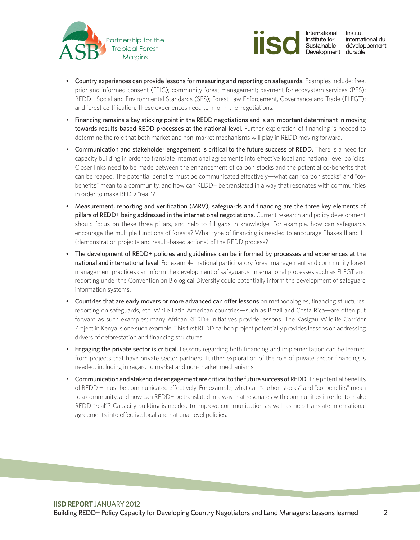



- • Country experiences can provide lessons for measuring and reporting on safeguards. Examples include: free, prior and informed consent (FPIC); community forest management; payment for ecosystem services (PES); REDD+ Social and Environmental Standards (SES); Forest Law Enforcement, Governance and Trade (FLEGT); and forest certification. These experiences need to inform the negotiations.
- Financing remains a key sticking point in the REDD negotiations and is an important determinant in moving towards results-based REDD processes at the national level. Further exploration of financing is needed to determine the role that both market and non-market mechanisms will play in REDD moving forward.
- Communication and stakeholder engagement is critical to the future success of REDD. There is a need for capacity building in order to translate international agreements into effective local and national level policies. Closer links need to be made between the enhancement of carbon stocks and the potential co-benefits that can be reaped. The potential benefits must be communicated effectively—what can "carbon stocks" and "cobenefits" mean to a community, and how can REDD+ be translated in a way that resonates with communities in order to make REDD "real"?
- Measurement, reporting and verification (MRV), safeguards and financing are the three key elements of pillars of REDD+ being addressed in the international negotiations. Current research and policy development should focus on these three pillars, and help to fill gaps in knowledge. For example, how can safeguards encourage the multiple functions of forests? What type of financing is needed to encourage Phases II and III (demonstration projects and result-based actions) of the REDD process?
- The development of REDD+ policies and guidelines can be informed by processes and experiences at the national and international level. For example, national participatory forest management and community forest management practices can inform the development of safeguards. International processes such as FLEGT and reporting under the Convention on Biological Diversity could potentially inform the development of safeguard information systems.
- Countries that are early movers or more advanced can offer lessons on methodologies, financing structures, reporting on safeguards, etc. While Latin American countries—such as Brazil and Costa Rica—are often put forward as such examples; many African REDD+ initiatives provide lessons. The Kasigau Wildlife Corridor Project in Kenya is one such example. This first REDD carbon project potentially provides lessons on addressing drivers of deforestation and financing structures.
- Engaging the private sector is critical. Lessons regarding both financing and implementation can be learned from projects that have private sector partners. Further exploration of the role of private sector financing is needed, including in regard to market and non-market mechanisms.
- Communication and stakeholder engagement are critical to the future success of REDD. The potential benefits of REDD + must be communicated effectively. For example, what can "carbon stocks" and "co-benefits" mean to a community, and how can REDD+ be translated in a way that resonates with communities in order to make REDD "real"? Capacity building is needed to improve communication as well as help translate international agreements into effective local and national level policies.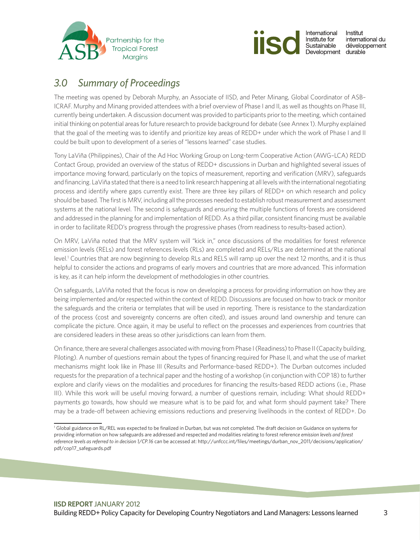<span id="page-5-0"></span>



# *3.0 Summary of Proceedings*

The meeting was opened by Deborah Murphy, an Associate of IISD, and Peter Minang, Global Coordinator of ASB– ICRAF. Murphy and Minang provided attendees with a brief overview of Phase I and II, as well as thoughts on Phase III, currently being undertaken. A discussion document was provided to participants prior to the meeting, which contained initial thinking on potential areas for future research to provide background for debate (see Annex 1). Murphy explained that the goal of the meeting was to identify and prioritize key areas of REDD+ under which the work of Phase I and II could be built upon to development of a series of "lessons learned" case studies.

Tony LaViña (Philippines), Chair of the Ad Hoc Working Group on Long-term Cooperative Action (AWG–LCA) REDD Contact Group, provided an overview of the status of REDD+ discussions in Durban and highlighted several issues of importance moving forward, particularly on the topics of measurement, reporting and verification (MRV), safeguards and financing. LaViña stated that there is a need to link research happening at all levels with the international negotiating process and identify where gaps currently exist. There are three key pillars of REDD+ on which research and policy should be based. The first is MRV, including all the processes needed to establish robust measurement and assessment systems at the national level. The second is safeguards and ensuring the multiple functions of forests are considered and addressed in the planning for and implementation of REDD. As a third pillar, consistent financing must be available in order to facilitate REDD's progress through the progressive phases (from readiness to results-based action).

On MRV, LaViña noted that the MRV system will "kick in," once discussions of the modalities for forest reference emission levels (RELs) and forest references levels (RLs) are completed and RELs/RLs are determined at the national level.1 Countries that are now beginning to develop RLs and RELS will ramp up over the next 12 months, and it is thus helpful to consider the actions and programs of early movers and countries that are more advanced. This information is key, as it can help inform the development of methodologies in other countries.

On safeguards, LaViña noted that the focus is now on developing a process for providing information on how they are being implemented and/or respected within the context of REDD. Discussions are focused on how to track or monitor the safeguards and the criteria or templates that will be used in reporting. There is resistance to the standardization of the process (cost and sovereignty concerns are often cited), and issues around land ownership and tenure can complicate the picture. Once again, it may be useful to reflect on the processes and experiences from countries that are considered leaders in these areas so other jurisdictions can learn from them.

On finance, there are several challenges associated with moving from Phase I (Readiness) to Phase II (Capacity building, Piloting). A number of questions remain about the types of financing required for Phase II, and what the use of market mechanisms might look like in Phase III (Results and Performance-based REDD+). The Durban outcomes included requests for the preparation of a technical paper and the hosting of a workshop (in conjunction with COP 18) to further explore and clarify views on the modalities and procedures for financing the results-based REDD actions (i.e., Phase III). While this work will be useful moving forward, a number of questions remain, including: What should REDD+ payments go towards, how should we measure what is to be paid for, and what form should payment take? There may be a trade-off between achieving emissions reductions and preserving livelihoods in the context of REDD+. Do

<sup>1</sup> Global guidance on RL/REL was expected to be finalized in Durban, but was not completed. The draft decision on Guidance on systems for providing information on how safeguards are addressed and respected and modalities relating to forest referenc*e emission levels and forest reference levels as referred to in decision 1/CP.16* can be accessed at: [http://unfccc.int/files/meetings/durban\\_nov\\_2011/decisions/application/](http://unfccc.int/files/meetings/durban_nov_2011/decisions/application/pdf/cop17_safeguards.pdf) [pdf/cop17\\_safeguards.pdf](http://unfccc.int/files/meetings/durban_nov_2011/decisions/application/pdf/cop17_safeguards.pdf)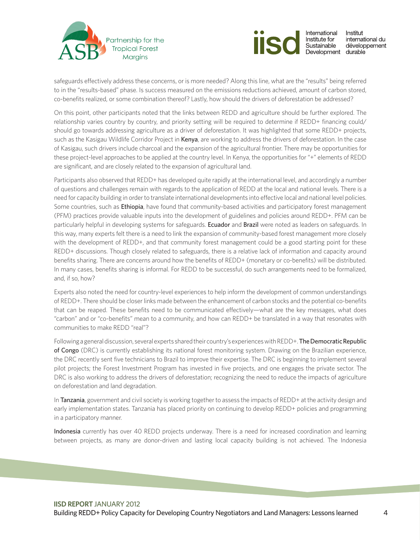



safeguards effectively address these concerns, or is more needed? Along this line, what are the "results" being referred to in the "results-based" phase. Is success measured on the emissions reductions achieved, amount of carbon stored, co-benefits realized, or some combination thereof? Lastly, how should the drivers of deforestation be addressed?

On this point, other participants noted that the links between REDD and agriculture should be further explored. The relationship varies country by country, and priority setting will be required to determine if REDD+ financing could/ should go towards addressing agriculture as a driver of deforestation. It was highlighted that some REDD+ projects, such as the Kasigau Wildlife Corridor Project in Kenya, are working to address the drivers of deforestation. In the case of Kasigau, such drivers include charcoal and the expansion of the agricultural frontier. There may be opportunities for these project-level approaches to be applied at the country level. In Kenya, the opportunities for "+" elements of REDD are significant, and are closely related to the expansion of agricultural land.

Participants also observed that REDD+ has developed quite rapidly at the international level, and accordingly a number of questions and challenges remain with regards to the application of REDD at the local and national levels. There is a need for capacity building in order to translate international developments into effective local and national level policies. Some countries, such as **Ethiopia**, have found that community-based activities and participatory forest management (PFM) practices provide valuable inputs into the development of guidelines and policies around REDD+. PFM can be particularly helpful in developing systems for safeguards. Ecuador and Brazil were noted as leaders on safeguards. In this way, many experts felt there is a need to link the expansion of community-based forest management more closely with the development of REDD+, and that community forest management could be a good starting point for these REDD+ discussions. Though closely related to safeguards, there is a relative lack of information and capacity around benefits sharing. There are concerns around how the benefits of REDD+ (monetary or co-benefits) will be distributed. In many cases, benefits sharing is informal. For REDD to be successful, do such arrangements need to be formalized, and, if so, how?

Experts also noted the need for country-level experiences to help inform the development of common understandings of REDD+. There should be closer links made between the enhancement of carbon stocks and the potential co-benefits that can be reaped. These benefits need to be communicated effectively—what are the key messages, what does "carbon" and or "co-benefits" mean to a community, and how can REDD+ be translated in a way that resonates with communities to make REDD "real"?

Following a general discussion, several experts shared their country's experiences with REDD+. The Democratic Republic of Congo (DRC) is currently establishing its national forest monitoring system. Drawing on the Brazilian experience, the DRC recently sent five technicians to Brazil to improve their expertise. The DRC is beginning to implement several pilot projects; the Forest Investment Program has invested in five projects, and one engages the private sector. The DRC is also working to address the drivers of deforestation; recognizing the need to reduce the impacts of agriculture on deforestation and land degradation.

In Tanzania, government and civil society is working together to assess the impacts of REDD+ at the activity design and early implementation states. Tanzania has placed priority on continuing to develop REDD+ policies and programming in a participatory manner.

Indonesia currently has over 40 REDD projects underway. There is a need for increased coordination and learning between projects, as many are donor-driven and lasting local capacity building is not achieved. The Indonesia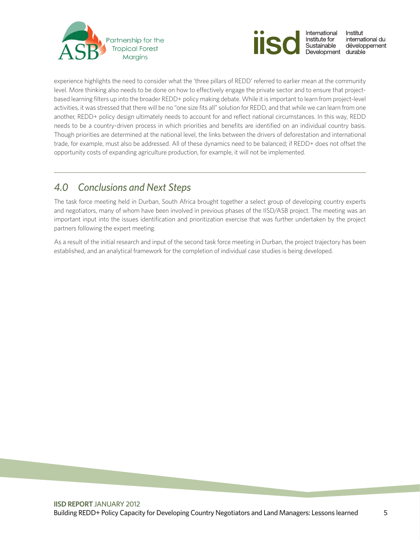<span id="page-7-0"></span>



experience highlights the need to consider what the 'three pillars of REDD' referred to earlier mean at the community level. More thinking also needs to be done on how to effectively engage the private sector and to ensure that projectbased learning filters up into the broader REDD+ policy making debate. While it is important to learn from project-level activities, it was stressed that there will be no "one size fits all" solution for REDD, and that while we can learn from one another, REDD+ policy design ultimately needs to account for and reflect national circumstances. In this way, REDD needs to be a country-driven process in which priorities and benefits are identified on an individual country basis. Though priorities are determined at the national level, the links between the drivers of deforestation and international trade, for example, must also be addressed. All of these dynamics need to be balanced; if REDD+ does not offset the opportunity costs of expanding agriculture production, for example, it will not be implemented.

# *4.0 Conclusions and Next Steps*

The task force meeting held in Durban, South Africa brought together a select group of developing country experts and negotiators, many of whom have been involved in previous phases of the IISD/ASB project. The meeting was an important input into the issues identification and prioritization exercise that was further undertaken by the project partners following the expert meeting.

As a result of the initial research and input of the second task force meeting in Durban, the project trajectory has been established, and an analytical framework for the completion of individual case studies is being developed.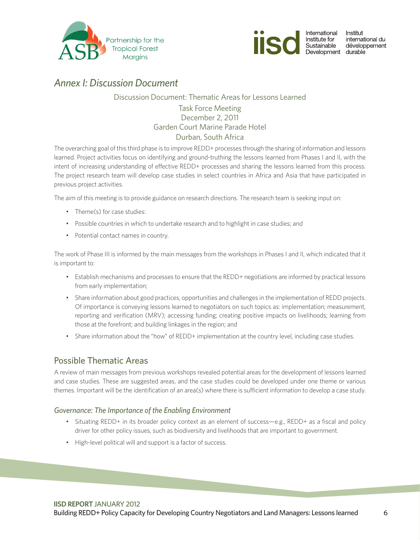<span id="page-8-0"></span>



## *Annex I: Discussion Document*

### Discussion Document: Thematic Areas for Lessons Learned Task Force Meeting December 2, 2011 Garden Court Marine Parade Hotel

### Durban, South Africa

The overarching goal of this third phase is to improve REDD+ processes through the sharing of information and lessons learned. Project activities focus on identifying and ground-truthing the lessons learned from Phases I and II, with the intent of increasing understanding of effective REDD+ processes and sharing the lessons learned from this process. The project research team will develop case studies in select countries in Africa and Asia that have participated in previous project activities.

The aim of this meeting is to provide guidance on research directions. The research team is seeking input on:

- Theme(s) for case studies:
- Possible countries in which to undertake research and to highlight in case studies; and
- • Potential contact names in country.

The work of Phase III is informed by the main messages from the workshops in Phases I and II, which indicated that it is important to:

- • Establish mechanisms and processes to ensure that the REDD+ negotiations are informed by practical lessons from early implementation;
- • Share information about good practices, opportunities and challenges in the implementation of REDD projects. Of importance is conveying lessons learned to negotiators on such topics as: implementation; measurement, reporting and verification (MRV); accessing funding; creating positive impacts on livelihoods; learning from those at the forefront; and building linkages in the region; and
- Share information about the "how" of REDD+ implementation at the country level, including case studies.

### Possible Thematic Areas

A review of main messages from previous workshops revealed potential areas for the development of lessons learned and case studies. These are suggested areas, and the case studies could be developed under one theme or various themes. Important will be the identification of an area(s) where there is sufficient information to develop a case study.

### *Governance: The Importance of the Enabling Environment*

- Situating REDD+ in its broader policy context as an element of success—e.g., REDD+ as a fiscal and policy driver for other policy issues, such as biodiversity and livelihoods that are important to government.
- • High-level political will and support is a factor of success.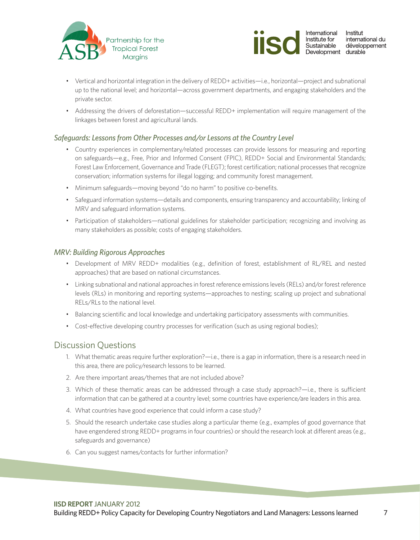



- • Vertical and horizontal integration in the delivery of REDD+ activities—i.e., horizontal—project and subnational up to the national level; and horizontal—across government departments, and engaging stakeholders and the private sector.
- • Addressing the drivers of deforestation—successful REDD+ implementation will require management of the linkages between forest and agricultural lands.

### *Safeguards: Lessons from Other Processes and/or Lessons at the Country Level*

- • Country experiences in complementary/related processes can provide lessons for measuring and reporting on safeguards—e.g., Free, Prior and Informed Consent (FPIC), REDD+ Social and Environmental Standards; Forest Law Enforcement, Governance and Trade (FLEGT); forest certification; national processes that recognize conservation; information systems for illegal logging; and community forest management.
- Minimum safeguards—moving beyond "do no harm" to positive co-benefits.
- • Safeguard information systems—details and components, ensuring transparency and accountability; linking of MRV and safeguard information systems.
- Participation of stakeholders—national guidelines for stakeholder participation; recognizing and involving as many stakeholders as possible; costs of engaging stakeholders.

### *MRV: Building Rigorous Approaches*

- • Development of MRV REDD+ modalities (e.g., definition of forest, establishment of RL/REL and nested approaches) that are based on national circumstances.
- • Linking subnational and national approaches in forest reference emissions levels (RELs) and/or forest reference levels (RLs) in monitoring and reporting systems—approaches to nesting; scaling up project and subnational RELs/RLs to the national level.
- • Balancing scientific and local knowledge and undertaking participatory assessments with communities.
- Cost-effective developing country processes for verification (such as using regional bodies);

### Discussion Questions

- 1. What thematic areas require further exploration?—i.e., there is a gap in information, there is a research need in this area, there are policy/research lessons to be learned.
- 2. Are there important areas/themes that are not included above?
- 3. Which of these thematic areas can be addressed through a case study approach?—i.e., there is sufficient information that can be gathered at a country level; some countries have experience/are leaders in this area.
- 4. What countries have good experience that could inform a case study?
- 5. Should the research undertake case studies along a particular theme (e.g., examples of good governance that have engendered strong REDD+ programs in four countries) or should the research look at different areas (e.g., safeguards and governance)
- 6. Can you suggest names/contacts for further information?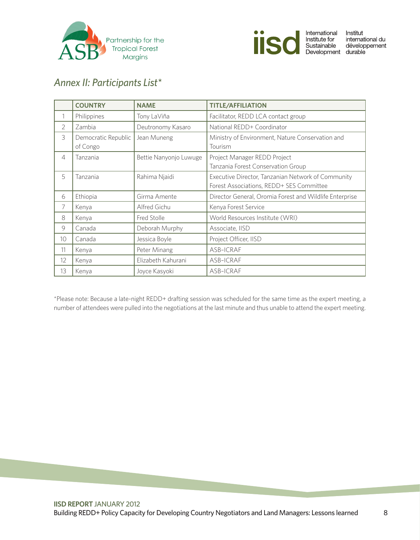<span id="page-10-0"></span>



# *Annex II: Participants List\**

|                 | <b>COUNTRY</b>                  | <b>NAME</b>            | <b>TITLE/AFFILIATION</b>                                                                       |
|-----------------|---------------------------------|------------------------|------------------------------------------------------------------------------------------------|
| 1               | Philippines                     | Tony LaViña            | Facilitator, REDD LCA contact group                                                            |
| $\overline{2}$  | Zambia                          | Deutronomy Kasaro      | National REDD+ Coordinator                                                                     |
| 3               | Democratic Republic<br>of Congo | Jean Muneng            | Ministry of Environment, Nature Conservation and<br>Tourism                                    |
| $\overline{4}$  | Tanzania                        | Bettie Nanyonjo Luwuge | Project Manager REDD Project<br>Tanzania Forest Conservation Group                             |
| 5               | Tanzania                        | Rahima Njaidi          | Executive Director, Tanzanian Network of Community<br>Forest Associations, REDD+ SES Committee |
| 6               | Ethiopia                        | Girma Amente           | Director General, Oromia Forest and Wildlife Enterprise                                        |
| $\overline{7}$  | Kenya                           | Alfred Gichu           | Kenya Forest Service                                                                           |
| 8               | Kenya                           | Fred Stolle            | World Resources Institute (WRI)                                                                |
| 9               | Canada                          | Deborah Murphy         | Associate, IISD                                                                                |
| 10 <sup>1</sup> | Canada                          | Jessica Boyle          | Project Officer, IISD                                                                          |
| 11              | Kenya                           | Peter Minang           | ASB-ICRAF                                                                                      |
| 12              | Kenya                           | Elizabeth Kahurani     | ASB-ICRAF                                                                                      |
| 13              | Kenya                           | Joyce Kasyoki          | ASB-ICRAF                                                                                      |

\*Please note: Because a late-night REDD+ drafting session was scheduled for the same time as the expert meeting, a number of attendees were pulled into the negotiations at the last minute and thus unable to attend the expert meeting.